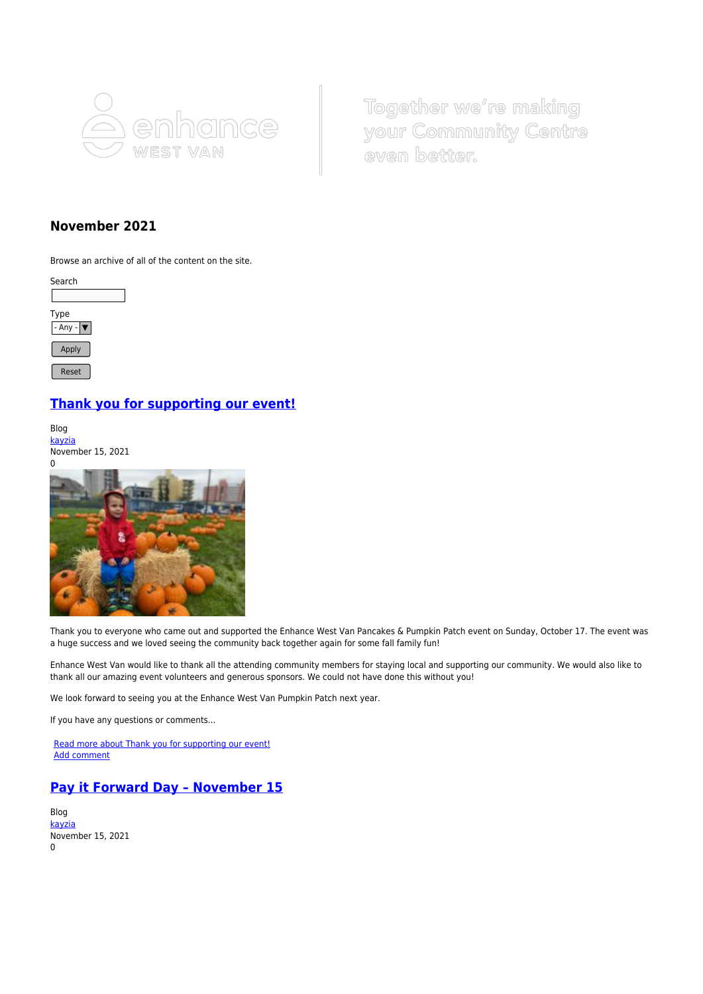

Together we're making your Community Centre even better.

## **November 2021**

Browse an archive of all of the content on the site.



## **[Thank you for supporting our event!](https://www.enhancewestvan.ca/blog/thank-you-supporting-our-event)**

Blog [kayzia](https://www.enhancewestvan.ca/user/2516) November 15, 2021



Thank you to everyone who came out and supported the Enhance West Van Pancakes & Pumpkin Patch event on Sunday, October 17. The event was a huge success and we loved seeing the community back together again for some fall family fun!

Enhance West Van would like to thank all the attending community members for staying local and supporting our community. We would also like to thank all our amazing event volunteers and generous sponsors. We could not have done this without you!

We look forward to seeing you at the Enhance West Van Pumpkin Patch next year.

If you have any questions or comments...

[Read more about Thank you for supporting our event!](https://www.enhancewestvan.ca/blog/thank-you-supporting-our-event) [Add comment](https://www.enhancewestvan.ca/comment/reply/587#comment-form)

## **[Pay it Forward Day – November 15](https://www.enhancewestvan.ca/blog/pay-it-forward-day-november-15)**

Blog [kayzia](https://www.enhancewestvan.ca/user/2516) November 15, 2021 0